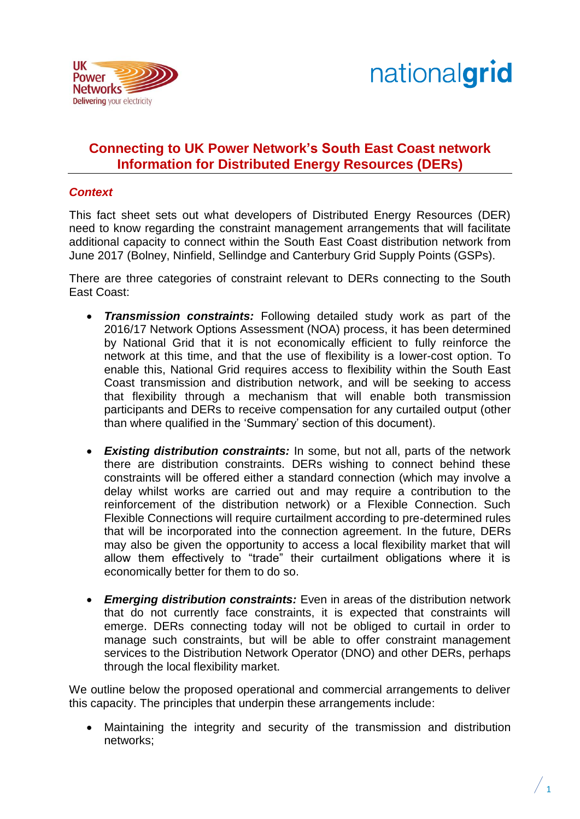



# **Connecting to UK Power Network's South East Coast network Information for Distributed Energy Resources (DERs)**

## *Context*

This fact sheet sets out what developers of Distributed Energy Resources (DER) need to know regarding the constraint management arrangements that will facilitate additional capacity to connect within the South East Coast distribution network from June 2017 (Bolney, Ninfield, Sellindge and Canterbury Grid Supply Points (GSPs).

There are three categories of constraint relevant to DERs connecting to the South East Coast:

- *Transmission constraints:* Following detailed study work as part of the 2016/17 Network Options Assessment (NOA) process, it has been determined by National Grid that it is not economically efficient to fully reinforce the network at this time, and that the use of flexibility is a lower-cost option. To enable this, National Grid requires access to flexibility within the South East Coast transmission and distribution network, and will be seeking to access that flexibility through a mechanism that will enable both transmission participants and DERs to receive compensation for any curtailed output (other than where qualified in the 'Summary' section of this document).
- *Existing distribution constraints:* In some, but not all, parts of the network there are distribution constraints. DERs wishing to connect behind these constraints will be offered either a standard connection (which may involve a delay whilst works are carried out and may require a contribution to the reinforcement of the distribution network) or a Flexible Connection. Such Flexible Connections will require curtailment according to pre-determined rules that will be incorporated into the connection agreement. In the future, DERs may also be given the opportunity to access a local flexibility market that will allow them effectively to "trade" their curtailment obligations where it is economically better for them to do so.
- *Emerging distribution constraints:* Even in areas of the distribution network that do not currently face constraints, it is expected that constraints will emerge. DERs connecting today will not be obliged to curtail in order to manage such constraints, but will be able to offer constraint management services to the Distribution Network Operator (DNO) and other DERs, perhaps through the local flexibility market.

We outline below the proposed operational and commercial arrangements to deliver this capacity. The principles that underpin these arrangements include:

 Maintaining the integrity and security of the transmission and distribution networks;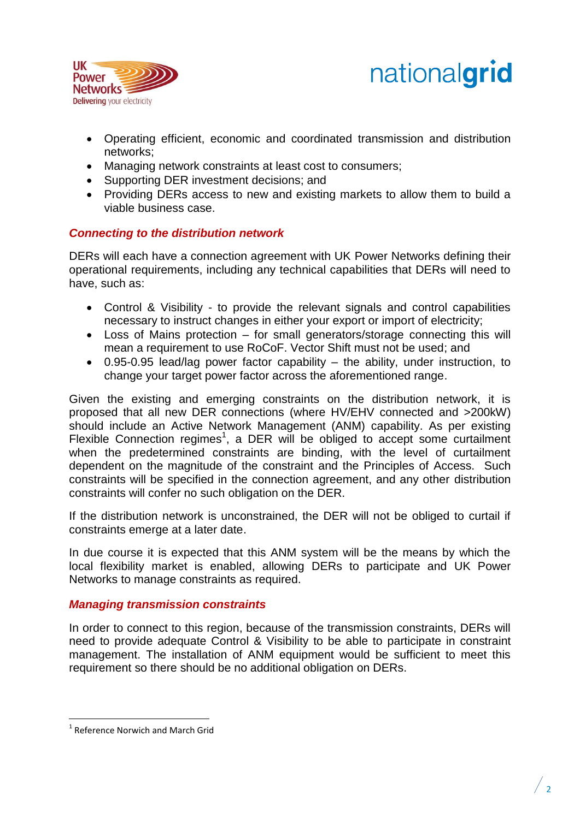



- Operating efficient, economic and coordinated transmission and distribution networks;
- Managing network constraints at least cost to consumers;
- Supporting DER investment decisions; and
- Providing DERs access to new and existing markets to allow them to build a viable business case.

# *Connecting to the distribution network*

DERs will each have a connection agreement with UK Power Networks defining their operational requirements, including any technical capabilities that DERs will need to have, such as:

- Control & Visibility to provide the relevant signals and control capabilities necessary to instruct changes in either your export or import of electricity;
- Loss of Mains protection for small generators/storage connecting this will mean a requirement to use RoCoF. Vector Shift must not be used; and
- 0.95-0.95 lead/lag power factor capability the ability, under instruction, to change your target power factor across the aforementioned range.

Given the existing and emerging constraints on the distribution network, it is proposed that all new DER connections (where HV/EHV connected and >200kW) should include an Active Network Management (ANM) capability. As per existing Flexible Connection regimes<sup>1</sup>, a DER will be obliged to accept some curtailment when the predetermined constraints are binding, with the level of curtailment dependent on the magnitude of the constraint and the Principles of Access. Such constraints will be specified in the connection agreement, and any other distribution constraints will confer no such obligation on the DER.

If the distribution network is unconstrained, the DER will not be obliged to curtail if constraints emerge at a later date.

In due course it is expected that this ANM system will be the means by which the local flexibility market is enabled, allowing DERs to participate and UK Power Networks to manage constraints as required.

# *Managing transmission constraints*

In order to connect to this region, because of the transmission constraints, DERs will need to provide adequate Control & Visibility to be able to participate in constraint management. The installation of ANM equipment would be sufficient to meet this requirement so there should be no additional obligation on DERs.

 $\overline{\phantom{a}}$ 

<sup>&</sup>lt;sup>1</sup> Reference Norwich and March Grid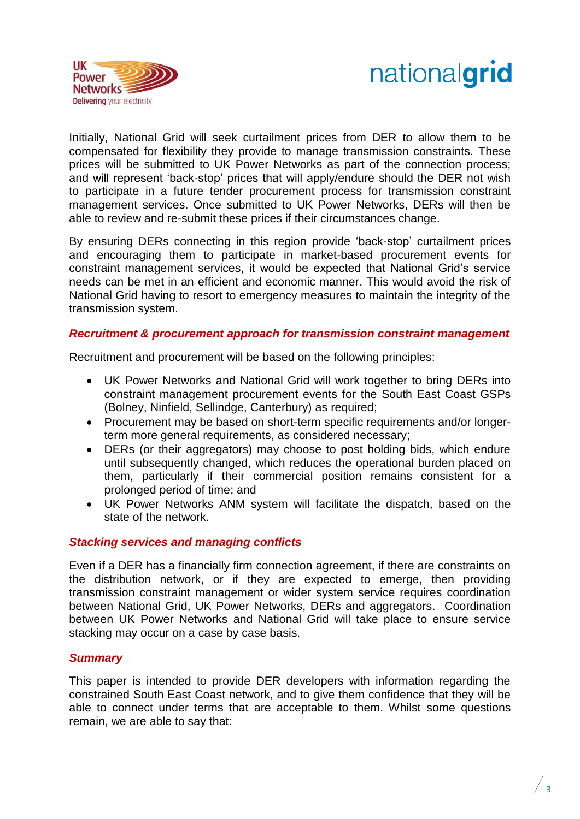



Initially, National Grid will seek curtailment prices from DER to allow them to be compensated for flexibility they provide to manage transmission constraints. These prices will be submitted to UK Power Networks as part of the connection process; and will represent 'back-stop' prices that will apply/endure should the DER not wish to participate in a future tender procurement process for transmission constraint management services. Once submitted to UK Power Networks, DERs will then be able to review and re-submit these prices if their circumstances change.

By ensuring DERs connecting in this region provide 'back-stop' curtailment prices and encouraging them to participate in market-based procurement events for constraint management services, it would be expected that National Grid's service needs can be met in an efficient and economic manner. This would avoid the risk of National Grid having to resort to emergency measures to maintain the integrity of the transmission system.

#### *Recruitment & procurement approach for transmission constraint management*

Recruitment and procurement will be based on the following principles:

- UK Power Networks and National Grid will work together to bring DERs into constraint management procurement events for the South East Coast GSPs (Bolney, Ninfield, Sellindge, Canterbury) as required;
- Procurement may be based on short-term specific requirements and/or longerterm more general requirements, as considered necessary;
- DERs (or their aggregators) may choose to post holding bids, which endure until subsequently changed, which reduces the operational burden placed on them, particularly if their commercial position remains consistent for a prolonged period of time; and
- UK Power Networks ANM system will facilitate the dispatch, based on the state of the network.

## *Stacking services and managing conflicts*

Even if a DER has a financially firm connection agreement, if there are constraints on the distribution network, or if they are expected to emerge, then providing transmission constraint management or wider system service requires coordination between National Grid, UK Power Networks, DERs and aggregators. Coordination between UK Power Networks and National Grid will take place to ensure service stacking may occur on a case by case basis.

#### *Summary*

This paper is intended to provide DER developers with information regarding the constrained South East Coast network, and to give them confidence that they will be able to connect under terms that are acceptable to them. Whilst some questions remain, we are able to say that:

 $\frac{1}{3}$